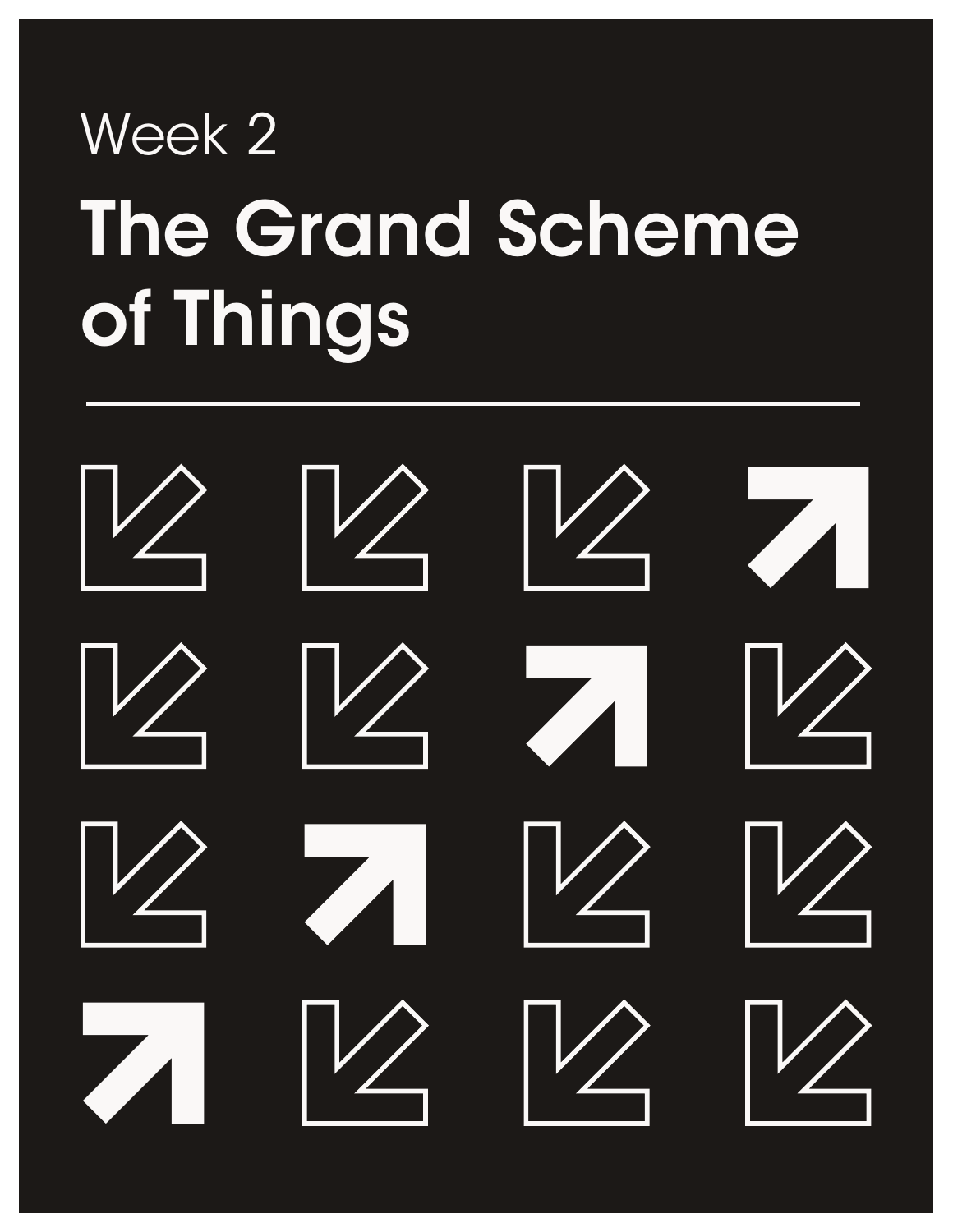# The Grand Scheme of Things Week 2

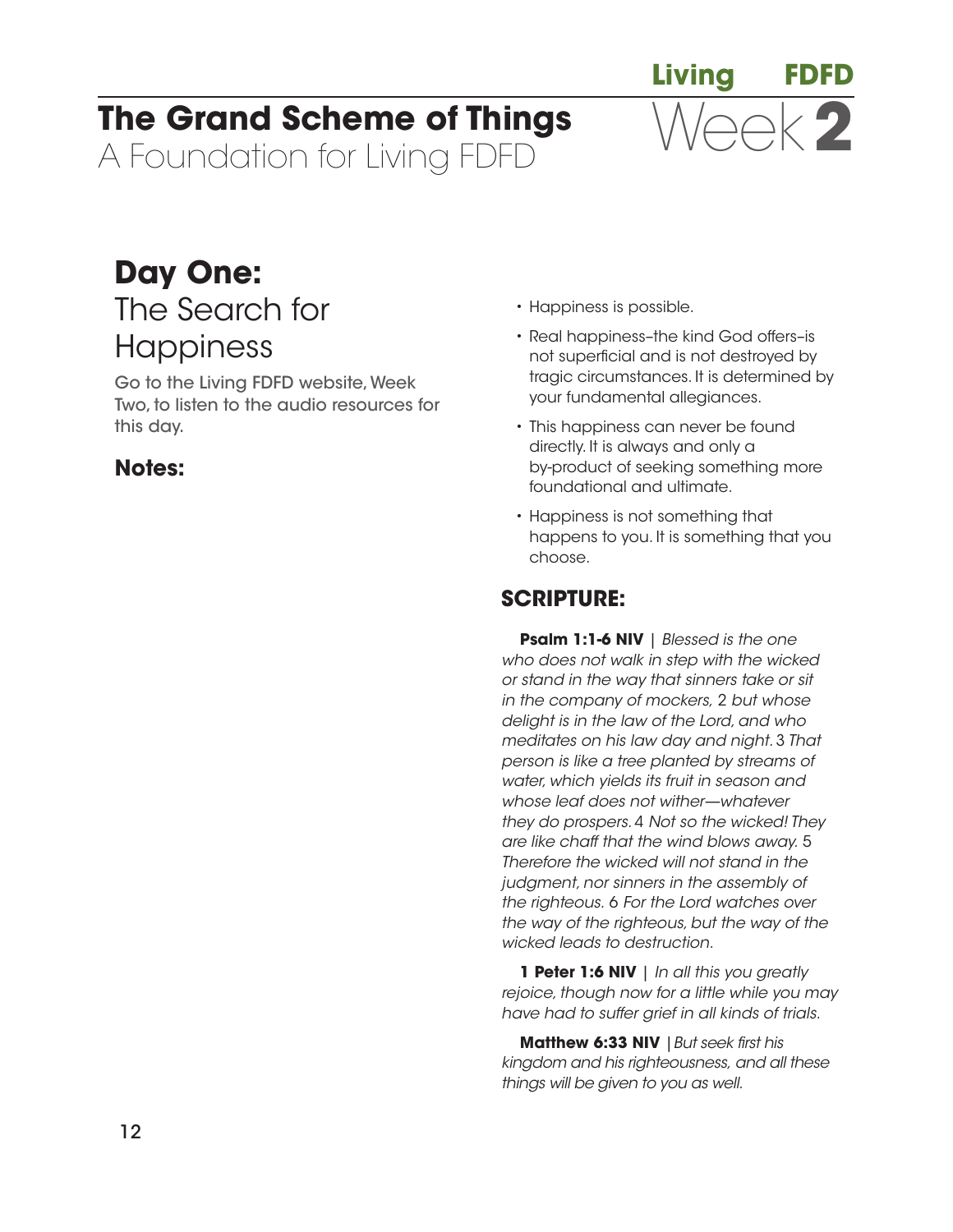# **The Grand Scheme of Things**

A Foundation for Living FDFD

# **Day One:**  The Search for **Happiness**

Go to the Living FDFD website, Week Two, to listen to the audio resources for this day.

# **Notes:**

- Happiness is possible.
- Real happiness–the kind God offers–is not superficial and is not destroyed by tragic circumstances. It is determined by your fundamental allegiances.

**Living FDFD**

Week**2**

- This happiness can never be found directly. It is always and only a by-product of seeking something more foundational and ultimate.
- Happiness is not something that happens to you. It is something that you choose.

# **SCRIPTURE:**

**Psalm 1:1-6 NIV** | *Blessed is the one who does not walk in step with the wicked or stand in the way that sinners take or sit in the company of mockers,* 2 *but whose delight is in the law of the Lord, and who meditates on his law day and night.* 3 *That person is like a tree planted by streams of water, which yields its fruit in season and whose leaf does not wither—whatever they do prospers.* 4 *Not so the wicked! They are like chaff that the wind blows away.* 5 *Therefore the wicked will not stand in the judgment, nor sinners in the assembly of the righteous.* 6 *For the Lord watches over the way of the righteous, but the way of the wicked leads to destruction.*

**1 Peter 1:6 NIV** | *In all this you greatly rejoice, though now for a little while you may have had to suffer grief in all kinds of trials.*

**Matthew 6:33 NIV** | But seek first his *kingdom and his righteousness, and all these things will be given to you as well.*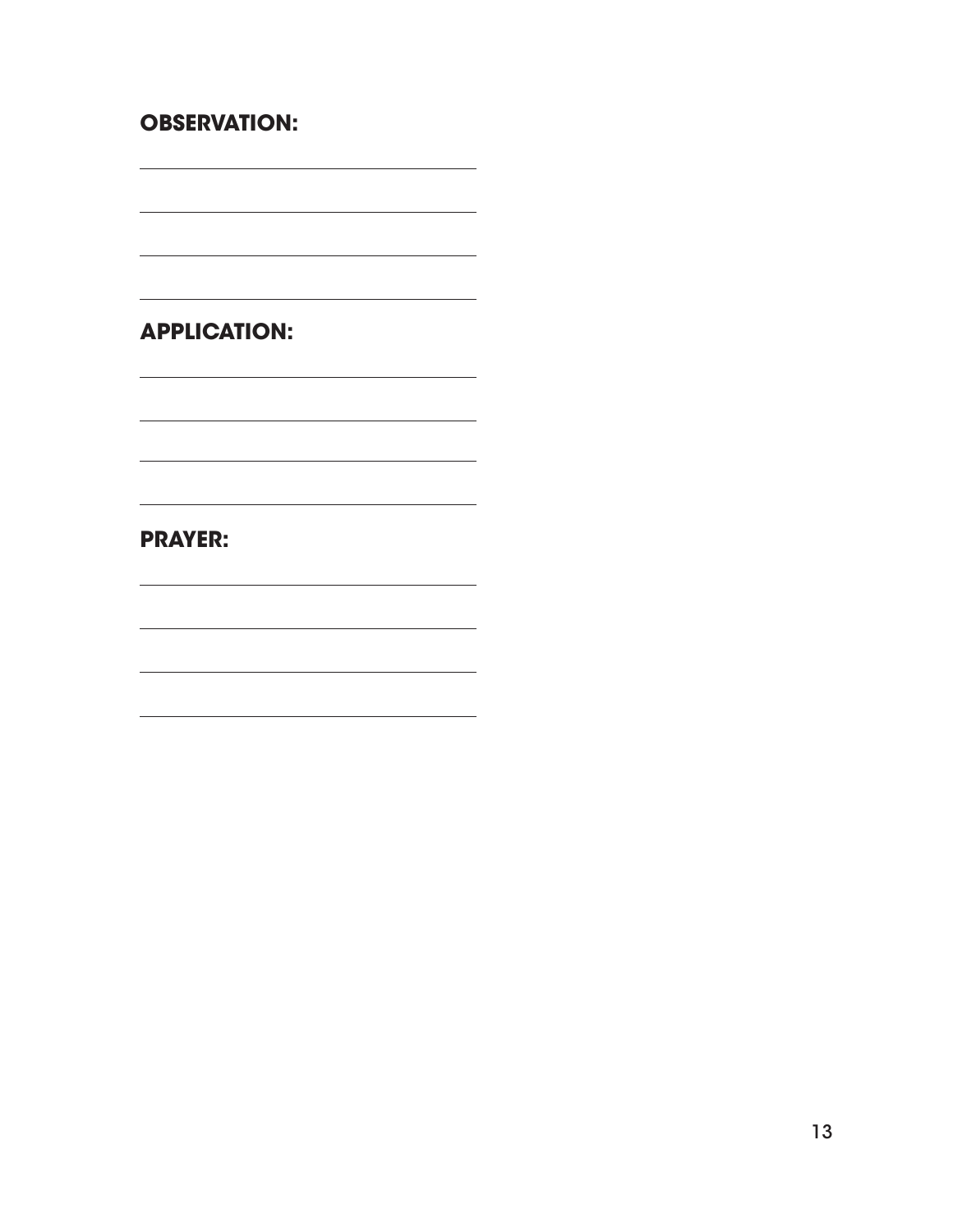#### **OBSERVATION:**

 $\overline{\phantom{a}}$ 

 $\overline{\phantom{0}}$ 

 $\overline{\phantom{a}}$ 

 $\overline{\phantom{0}}$ 

**APPLICATION:**

<u> 1989 - Johann Barbara, martxa alemaniar argumento estas políticas en la contrada de la contrada de la contra</u>

<u> 1980 - Johann Barn, amerikan besteman besteman besteman besteman besteman besteman besteman besteman bestema</u>

<u> 1989 - Johann Barn, amerikansk politiker (d. 1989)</u>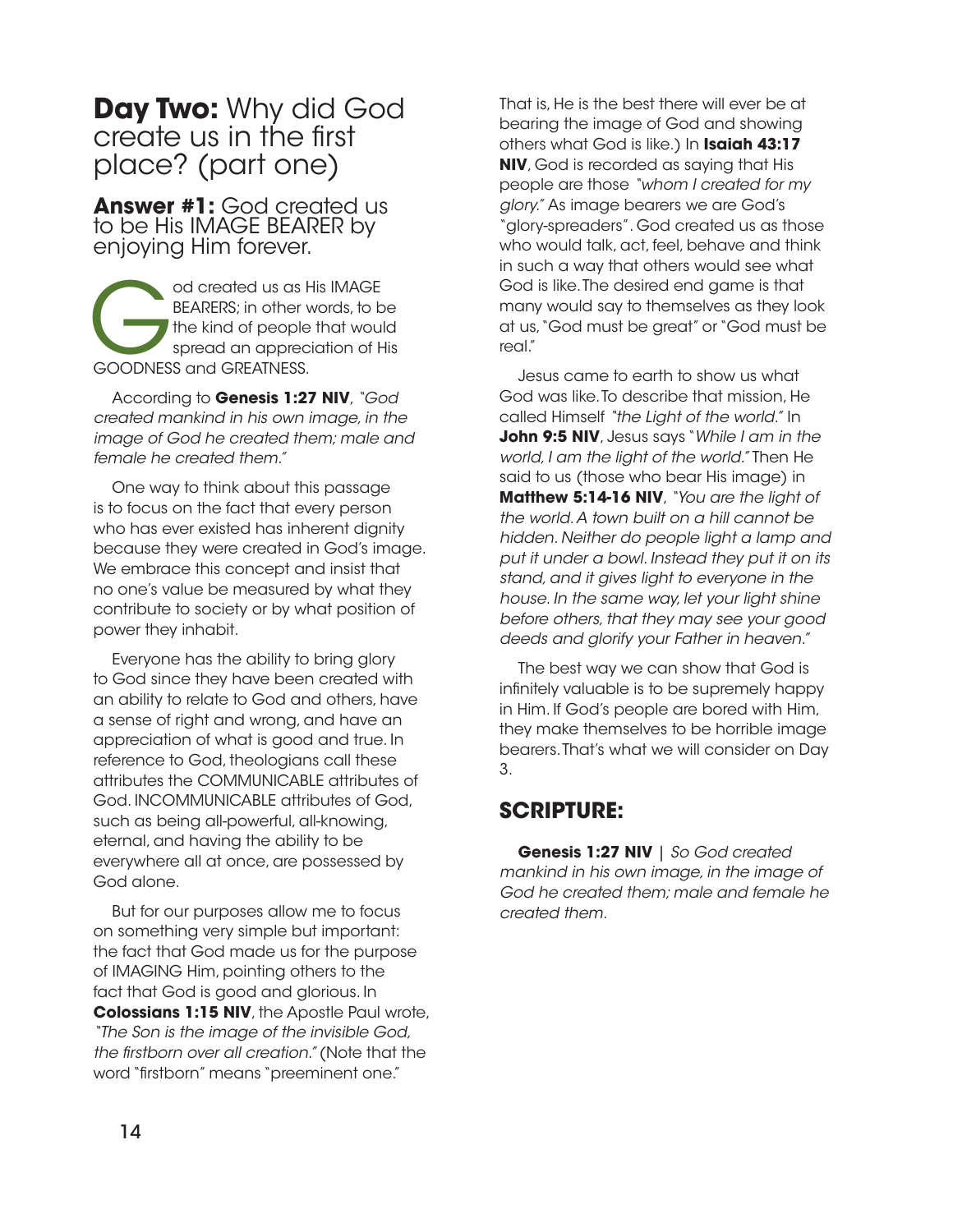## **Day Two:** Why did God create us in the first place? (part one)

**Answer #1:** God created us to be His IMAGE BEARER by enjoying Him forever.

od created us as His IMAGE<br>BEARERS; in other words, to b<br>the kind of people that woul<br>spread an appreciation of H<br>GOODNESS and GREATNESS. BEARERS; in other words, to be the kind of people that would spread an appreciation of His GOODNESS and GREATNESS.

According to **Genesis 1:27 NIV**, *"God created mankind in his own image, in the image of God he created them; male and female he created them."*

One way to think about this passage is to focus on the fact that every person who has ever existed has inherent dignity because they were created in God's image. We embrace this concept and insist that no one's value be measured by what they contribute to society or by what position of power they inhabit.

Everyone has the ability to bring glory to God since they have been created with an ability to relate to God and others, have a sense of right and wrong, and have an appreciation of what is good and true. In reference to God, theologians call these attributes the COMMUNICABLE attributes of God. INCOMMUNICABLE attributes of God, such as being all-powerful, all-knowing, eternal, and having the ability to be everywhere all at once, are possessed by God alone.

But for our purposes allow me to focus on something very simple but important: the fact that God made us for the purpose of IMAGING Him, pointing others to the fact that God is good and glorious. In **Colossians 1:15 NIV**, the Apostle Paul wrote, *"The Son is the image of the invisible God, the* !*rstborn over all creation."* (Note that the word "firstborn" means "preeminent one."

That is, He is the best there will ever be at bearing the image of God and showing others what God is like.) In **Isaiah 43:17 NIV**, God is recorded as saying that His people are those *"whom I created for my glory."* As image bearers we are God's "glory-spreaders". God created us as those who would talk, act, feel, behave and think in such a way that others would see what God is like. The desired end game is that many would say to themselves as they look at us, "God must be great" or "God must be real."

Jesus came to earth to show us what God was like. To describe that mission, He called Himself *"the Light of the world."* In **John 9:5 NIV**, Jesus says "*While I am in the world, I am the light of the world."* Then He said to us (those who bear His image) in **Matthew 5:14-16 NIV**, *"You are the light of the world. A town built on a hill cannot be hidden. Neither do people light a lamp and put it under a bowl. Instead they put it on its stand, and it gives light to everyone in the house. In the same way, let your light shine before others, that they may see your good deeds and glorify your Father in heaven."*

The best way we can show that God is infinitely valuable is to be supremely happy in Him. If God's people are bored with Him, they make themselves to be horrible image bearers. That's what we will consider on Day 3.

#### **SCRIPTURE:**

**Genesis 1:27 NIV** | *So God created mankind in his own image, in the image of God he created them; male and female he created them.*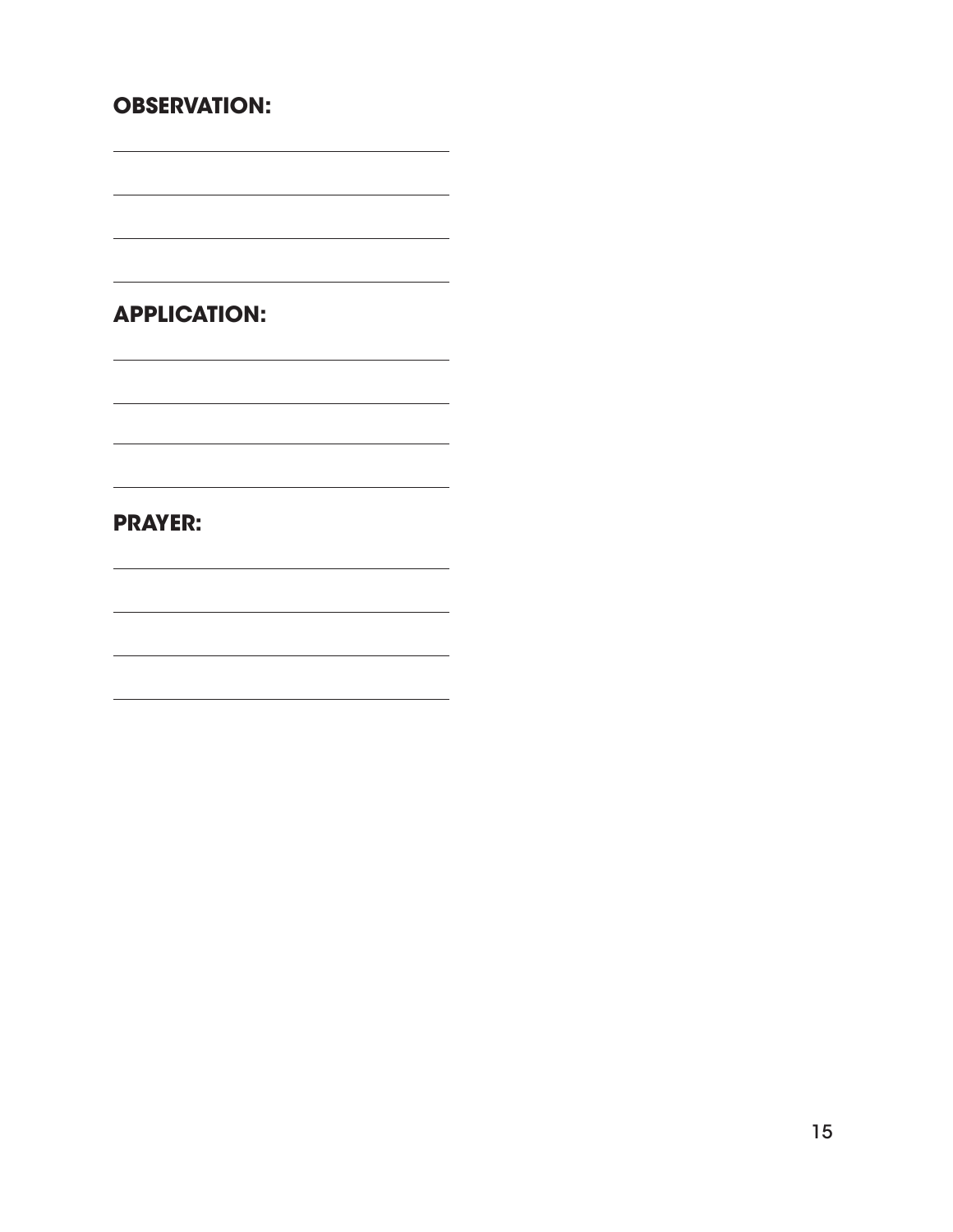#### **OBSERVATION:**

 $\overline{\phantom{0}}$ 

 $\overline{\phantom{0}}$ 

 $\overline{\phantom{a}}$ 

 $\overline{\phantom{0}}$ 

**APPLICATION:**

the control of the control of the control of the

<u> 1980 - Johann Barn, fransk politik (f. 1980)</u>

<u> 1989 - Johann Barn, amerikansk politiker (d. 1989)</u>

<u> 1989 - Johann Barbara, martxa alemaniar argumento este alemaniar alemaniar alemaniar alemaniar alemaniar a</u>

the control of the control of the control of the control of the control of the control of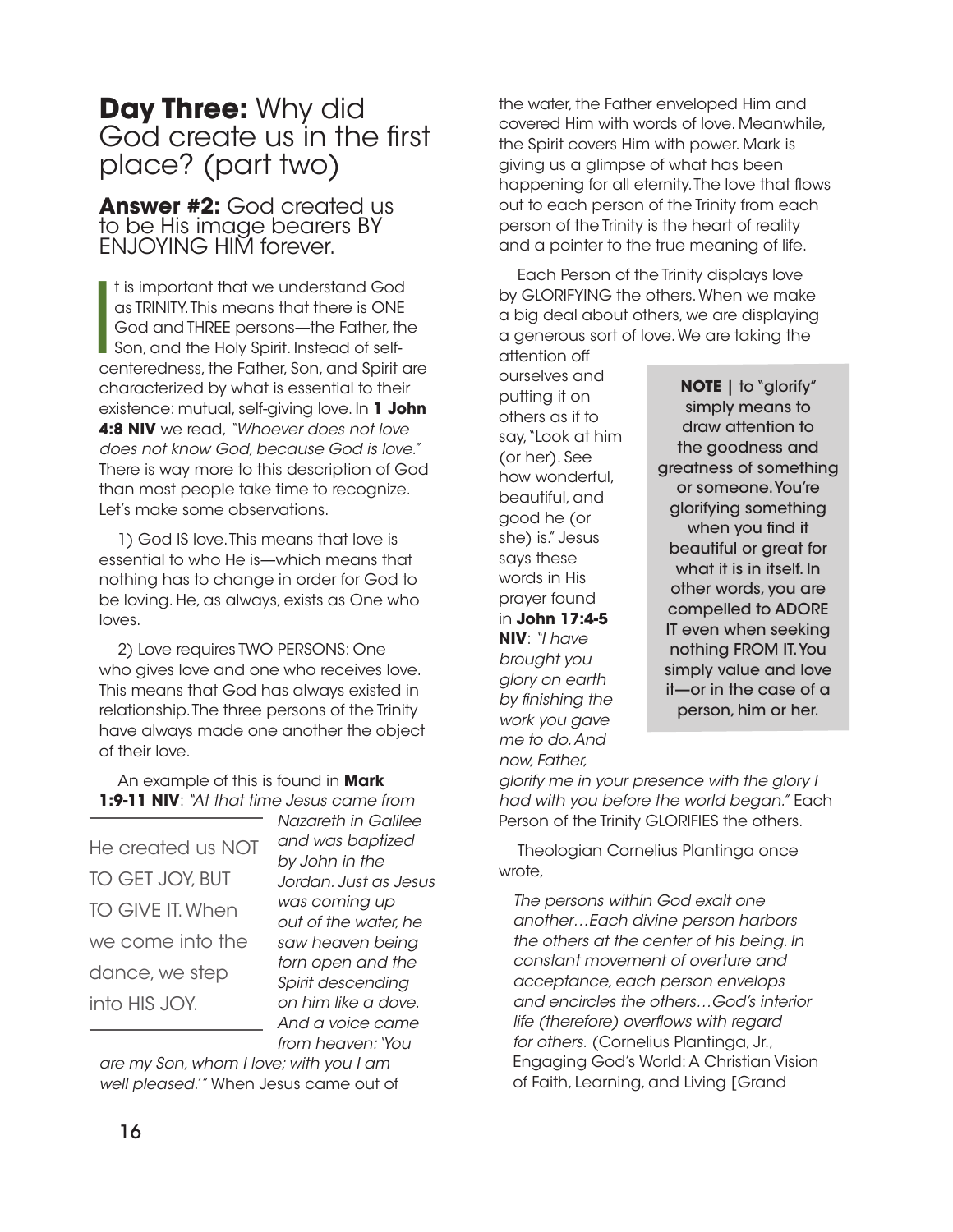# **Day Three:** Why did God create us in the first place? (part two)

**Answer #2:** God created us to be His image bearers BY ENJOYING HIM forever.

It is important that we understand God<br>as TRINITY. This means that there is ONE<br>God and THREE persons—the Father, the<br>Son, and the Holy Spirit. Instead of self-<br>centeredness, the Father, Son, and Spirit are t is important that we understand God as TRINITY. This means that there is ONE God and THREE persons—the Father, the Son, and the Holy Spirit. Instead of selfcharacterized by what is essential to their existence: mutual, self-giving love. In **1 John 4:8 NIV** we read, *"Whoever does not love does not know God, because God is love."*  There is way more to this description of God than most people take time to recognize. Let's make some observations.

1) God IS love. This means that love is essential to who He is—which means that nothing has to change in order for God to be loving. He, as always, exists as One who loves.

2) Love requires TWO PERSONS: One who gives love and one who receives love. This means that God has always existed in relationship. The three persons of the Trinity have always made one another the object of their love.

An example of this is found in **Mark 1:9-11 NIV**: *"At that time Jesus came from* 

He created us NOT TO GET JOY, BUT TO GIVE IT. When we come into the dance, we step into HIS JOY.

*Nazareth in Galilee and was baptized by John in the Jordan. Just as Jesus was coming up out of the water, he saw heaven being torn open and the Spirit descending on him like a dove. And a voice came from heaven: 'You* 

*are my Son, whom I love; with you I am well pleased.'"* When Jesus came out of the water, the Father enveloped Him and covered Him with words of love. Meanwhile, the Spirit covers Him with power. Mark is giving us a glimpse of what has been happening for all eternity. The love that flows out to each person of the Trinity from each person of the Trinity is the heart of reality and a pointer to the true meaning of life.

Each Person of the Trinity displays love by GLORIFYING the others. When we make a big deal about others, we are displaying a generous sort of love. We are taking the attention off

ourselves and putting it on others as if to say, "Look at him (or her). See how wonderful, beautiful, and good he (or she) is." Jesus says these words in His prayer found in **John 17:4-5 NIV**: *"I have brought you glory on earth by* !*nishing the work you gave me to do. And now, Father,* 

**NOTE** | to "glorify" simply means to draw attention to the goodness and greatness of something or someone. You're glorifying something when you find it beautiful or great for what it is in itself. In other words, you are compelled to ADORE IT even when seeking nothing FROM IT. You simply value and love it—or in the case of a person, him or her.

*glorify me in your presence with the glory I had with you before the world began."* Each Person of the Trinity GLORIFIES the others.

Theologian Cornelius Plantinga once wrote,

*The persons within God exalt one another…Each divine person harbors the others at the center of his being. In constant movement of overture and acceptance, each person envelops and encircles the others…God's interior life (therefore) over*"*ows with regard for others.* (Cornelius Plantinga, Jr., Engaging God's World: A Christian Vision of Faith, Learning, and Living [Grand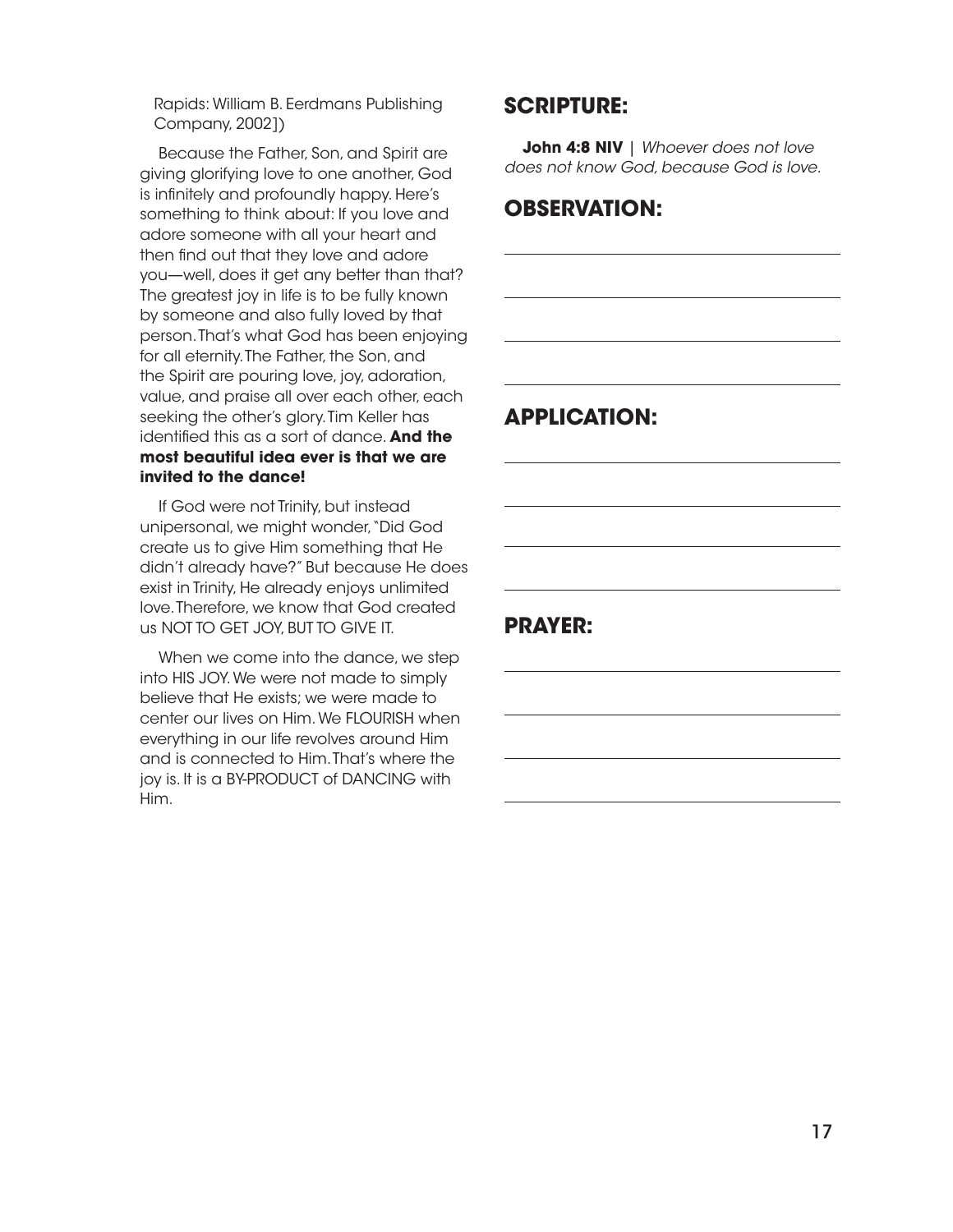Rapids: William B. Eerdmans Publishing Company, 2002])

Because the Father, Son, and Spirit are giving glorifying love to one another, God is infinitely and profoundly happy. Here's something to think about: If you love and adore someone with all your heart and then find out that they love and adore you—well, does it get any better than that? The greatest joy in life is to be fully known by someone and also fully loved by that person. That's what God has been enjoying for all eternity. The Father, the Son, and the Spirit are pouring love, joy, adoration, value, and praise all over each other, each seeking the other's glory. Tim Keller has identified this as a sort of dance. And the **most beautiful idea ever is that we are invited to the dance!**

If God were not Trinity, but instead unipersonal, we might wonder, "Did God create us to give Him something that He didn't already have?" But because He does exist in Trinity, He already enjoys unlimited love. Therefore, we know that God created us NOT TO GET JOY, BUT TO GIVE IT.

When we come into the dance, we step into HIS JOY. We were not made to simply believe that He exists; we were made to center our lives on Him. We FLOURISH when everything in our life revolves around Him and is connected to Him. That's where the joy is. It is a BY-PRODUCT of DANCING with Him.

#### **SCRIPTURE:**

**John 4:8 NIV** | *Whoever does not love does not know God, because God is love.*

#### **OBSERVATION:**

#### **APPLICATION:**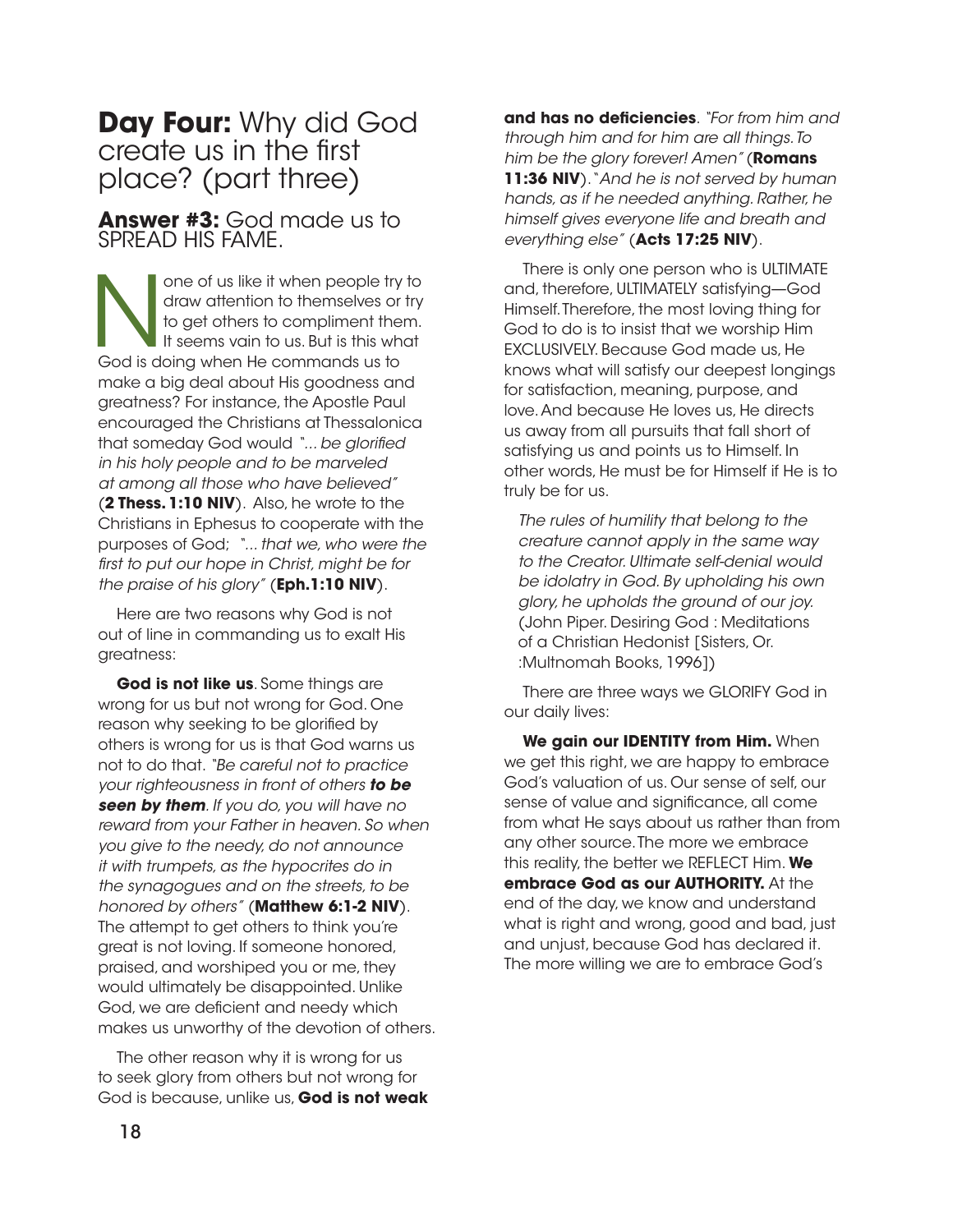## **Day Four:** Why did God create us in the first place? (part three)

**Answer #3:** God made us to SPREAD HIS FAME.

one of us like it when people try to<br>draw attention to themselves or try<br>to get others to compliment them.<br>It seems vain to us. But is this what<br>God is doing when He commands us to draw attention to themselves or try to get others to compliment them. It seems vain to us. But is this what God is doing when He commands us to make a big deal about His goodness and greatness? For instance, the Apostle Paul encouraged the Christians at Thessalonica that someday God would "... be glorified *in his holy people and to be marveled at among all those who have believed"* (**2 Thess. 1:10 NIV**). Also, he wrote to the Christians in Ephesus to cooperate with the purposes of God; *"... that we, who were the*  !*rst to put our hope in Christ, might be for the praise of his glory"* (**Eph.1:10 NIV**).

Here are two reasons why God is not out of line in commanding us to exalt His greatness:

**God is not like us**. Some things are wrong for us but not wrong for God. One reason why seeking to be glorified by others is wrong for us is that God warns us not to do that. *"Be careful not to practice your righteousness in front of others to be seen by them. If you do, you will have no reward from your Father in heaven. So when you give to the needy, do not announce it with trumpets, as the hypocrites do in the synagogues and on the streets, to be honored by others"* (**Matthew 6:1-2 NIV**). The attempt to get others to think you're great is not loving. If someone honored, praised, and worshiped you or me, they would ultimately be disappointed. Unlike God, we are deficient and needy which makes us unworthy of the devotion of others.

The other reason why it is wrong for us to seek glory from others but not wrong for God is because, unlike us, **God is not weak**  **and has no de!ciencies**. *"For from him and through him and for him are all things. To him be the glory forever! Amen"* (**Romans 11:36 NIV**). "*And he is not served by human hands, as if he needed anything. Rather, he himself gives everyone life and breath and everything else"* (**Acts 17:25 NIV**).

There is only one person who is ULTIMATE and, therefore, ULTIMATELY satisfying—God Himself. Therefore, the most loving thing for God to do is to insist that we worship Him EXCLUSIVELY. Because God made us, He knows what will satisfy our deepest longings for satisfaction, meaning, purpose, and love. And because He loves us, He directs us away from all pursuits that fall short of satisfying us and points us to Himself. In other words, He must be for Himself if He is to truly be for us.

*The rules of humility that belong to the creature cannot apply in the same way to the Creator. Ultimate self-denial would be idolatry in God. By upholding his own glory, he upholds the ground of our joy.* (John Piper. Desiring God : Meditations of a Christian Hedonist [Sisters, Or. :Multnomah Books, 1996])

There are three ways we GLORIFY God in our daily lives:

**We gain our IDENTITY from Him.** When we get this right, we are happy to embrace God's valuation of us. Our sense of self, our sense of value and significance, all come from what He says about us rather than from any other source. The more we embrace this reality, the better we REFLECT Him. **We embrace God as our AUTHORITY.** At the end of the day, we know and understand what is right and wrong, good and bad, just and unjust, because God has declared it. The more willing we are to embrace God's